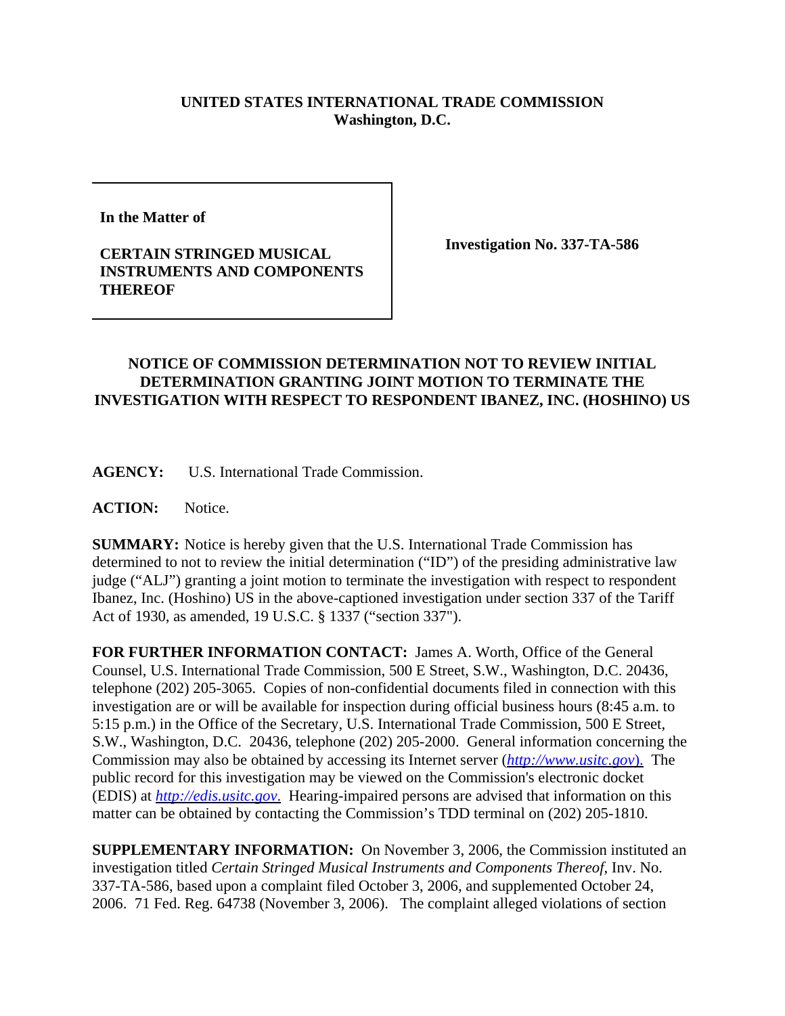## **UNITED STATES INTERNATIONAL TRADE COMMISSION Washington, D.C.**

**In the Matter of**

## **CERTAIN STRINGED MUSICAL INSTRUMENTS AND COMPONENTS THEREOF**

**Investigation No. 337-TA-586**

## **NOTICE OF COMMISSION DETERMINATION NOT TO REVIEW INITIAL DETERMINATION GRANTING JOINT MOTION TO TERMINATE THE INVESTIGATION WITH RESPECT TO RESPONDENT IBANEZ, INC. (HOSHINO) US**

**AGENCY:** U.S. International Trade Commission.

ACTION: Notice.

**SUMMARY:** Notice is hereby given that the U.S. International Trade Commission has determined to not to review the initial determination ("ID") of the presiding administrative law judge ("ALJ") granting a joint motion to terminate the investigation with respect to respondent Ibanez, Inc. (Hoshino) US in the above-captioned investigation under section 337 of the Tariff Act of 1930, as amended, 19 U.S.C. § 1337 ("section 337").

**FOR FURTHER INFORMATION CONTACT:** James A. Worth, Office of the General Counsel, U.S. International Trade Commission, 500 E Street, S.W., Washington, D.C. 20436, telephone (202) 205-3065. Copies of non-confidential documents filed in connection with this investigation are or will be available for inspection during official business hours (8:45 a.m. to 5:15 p.m.) in the Office of the Secretary, U.S. International Trade Commission, 500 E Street, S.W., Washington, D.C. 20436, telephone (202) 205-2000. General information concerning the Commission may also be obtained by accessing its Internet server (*http://www.usitc.gov*). The public record for this investigation may be viewed on the Commission's electronic docket (EDIS) at *http://edis.usitc.gov*. Hearing-impaired persons are advised that information on this matter can be obtained by contacting the Commission's TDD terminal on (202) 205-1810.

**SUPPLEMENTARY INFORMATION:** On November 3, 2006, the Commission instituted an investigation titled *Certain Stringed Musical Instruments and Components Thereof*, Inv. No. 337-TA-586, based upon a complaint filed October 3, 2006, and supplemented October 24, 2006. 71 Fed. Reg. 64738 (November 3, 2006). The complaint alleged violations of section